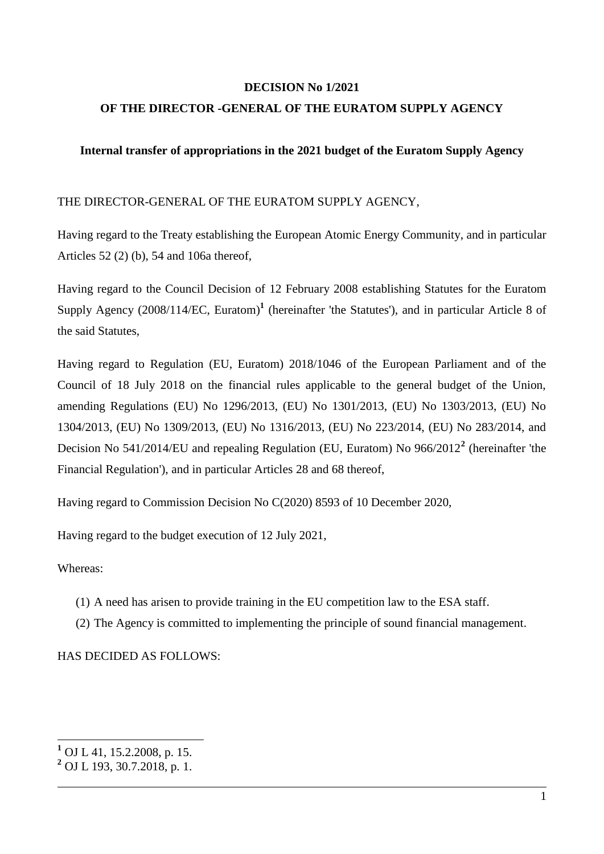#### **DECISION No 1/2021**

#### **OF THE DIRECTOR -GENERAL OF THE EURATOM SUPPLY AGENCY**

#### **Internal transfer of appropriations in the 2021 budget of the Euratom Supply Agency**

#### THE DIRECTOR-GENERAL OF THE EURATOM SUPPLY AGENCY,

Having regard to the Treaty establishing the European Atomic Energy Community, and in particular Articles 52 (2) (b), 54 and 106a thereof,

Having regard to the Council Decision of 12 February 2008 establishing Statutes for the Euratom Supply Agency (2008/114/EC, Euratom)<sup>1</sup> (hereinafter 'the Statutes'), and in particular Article 8 of the said Statutes,

Having regard to Regulation (EU, Euratom) 2018/1046 of the European Parliament and of the Council of 18 July 2018 on the financial rules applicable to the general budget of the Union, amending Regulations (EU) No 1296/2013, (EU) No 1301/2013, (EU) No 1303/2013, (EU) No 1304/2013, (EU) No 1309/2013, (EU) No 1316/2013, (EU) No 223/2014, (EU) No 283/2014, and Decision No 541/2014/EU and repealing Regulation (EU, Euratom) No 966/2012**<sup>2</sup>** (hereinafter 'the Financial Regulation'), and in particular Articles 28 and 68 thereof,

Having regard to Commission Decision No C(2020) 8593 of 10 December 2020,

Having regard to the budget execution of 12 July 2021,

#### Whereas:

<u>.</u>

- (1) A need has arisen to provide training in the EU competition law to the ESA staff.
- (2) The Agency is committed to implementing the principle of sound financial management.

HAS DECIDED AS FOLLOWS:

**<sup>1</sup>** OJ L 41, 15.2.2008, p. 15.

**<sup>2</sup>** OJ L 193, 30.7.2018, p. 1.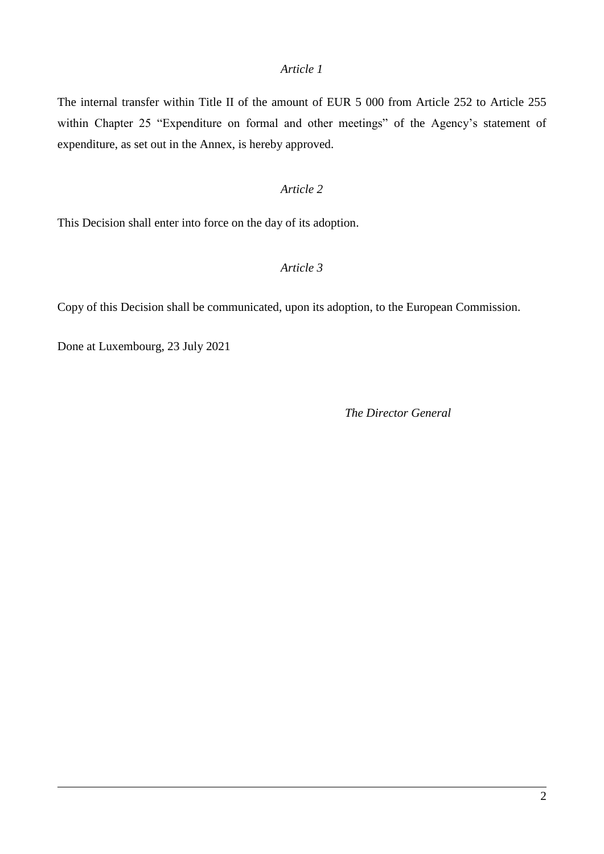#### *Article 1*

The internal transfer within Title II of the amount of EUR 5 000 from Article 252 to Article 255 within Chapter 25 "Expenditure on formal and other meetings" of the Agency's statement of expenditure, as set out in the Annex, is hereby approved.

#### *Article 2*

This Decision shall enter into force on the day of its adoption.

#### *Article 3*

Copy of this Decision shall be communicated, upon its adoption, to the European Commission.

Done at Luxembourg, 23 July 2021

*The Director General*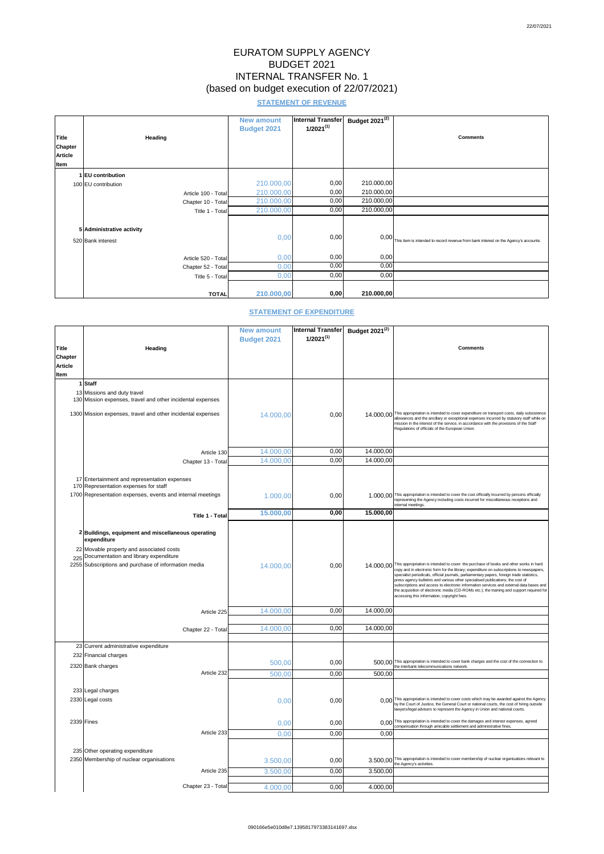# EURATOM SUPPLY AGENCY BUDGET 2021 INTERNAL TRANSFER No. 1 (based on budget execution of 22/07/2021)

## **STATEMENT OF REVENUE**

|                |                           | <b>New amount</b><br><b>Budget 2021</b> | Internal Transfer<br>$1/2021^{(1)}$ | Budget $2021^{(2)}$ |                                                                                      |
|----------------|---------------------------|-----------------------------------------|-------------------------------------|---------------------|--------------------------------------------------------------------------------------|
| Title          | <b>Heading</b>            |                                         |                                     |                     | <b>Comments</b>                                                                      |
| <b>Chapter</b> |                           |                                         |                                     |                     |                                                                                      |
| <b>Article</b> |                           |                                         |                                     |                     |                                                                                      |
| <b>Item</b>    |                           |                                         |                                     |                     |                                                                                      |
|                | 1 EU contribution         |                                         |                                     |                     |                                                                                      |
|                | 100 EU contribution       | 210.000,00                              | 0,00                                | 210.000,00          |                                                                                      |
|                | Article 100 - Total       | 210.000,00                              | 0,00                                | 210.000,00          |                                                                                      |
|                | Chapter 10 - Total        | 210.000,00                              | 0,00                                | 210.000,00          |                                                                                      |
|                | Title 1 - Total           | 210.000,00                              | 0,00                                | 210.000,00          |                                                                                      |
|                |                           |                                         |                                     |                     |                                                                                      |
|                | 5 Administrative activity |                                         |                                     |                     |                                                                                      |
|                | 520 Bank interest         | 0,00                                    | 0,00                                | 0,00                | This item is intended to record revenue from bank interest on the Agency's accounts. |
|                |                           |                                         |                                     |                     |                                                                                      |
|                | Article 520 - Total       | 0,00                                    | 0,00                                | 0,00                |                                                                                      |
|                | Chapter 52 - Total        | 0,00                                    | 0,00                                | 0,00                |                                                                                      |
|                | Title 5 - Total           | 0,00                                    | 0,00                                | 0,00                |                                                                                      |
|                |                           |                                         |                                     |                     |                                                                                      |
|                | <b>TOTAL</b>              | 210.000,00                              | 0,00                                | 210.000,00          |                                                                                      |

### **STATEMENT OF EXPENDITURE**

|                |                                                                                                                                                     | <b>New amount</b>  | <b>Internal Transfer</b> | Budget 2021 <sup>(2)</sup> |                                                                                                                                                                                                                                                                                                                                                                                                                                                                                                                                                                                                                     |
|----------------|-----------------------------------------------------------------------------------------------------------------------------------------------------|--------------------|--------------------------|----------------------------|---------------------------------------------------------------------------------------------------------------------------------------------------------------------------------------------------------------------------------------------------------------------------------------------------------------------------------------------------------------------------------------------------------------------------------------------------------------------------------------------------------------------------------------------------------------------------------------------------------------------|
|                |                                                                                                                                                     | <b>Budget 2021</b> | $1/2021^{(1)}$           |                            |                                                                                                                                                                                                                                                                                                                                                                                                                                                                                                                                                                                                                     |
| <b>Title</b>   | <b>Heading</b>                                                                                                                                      |                    |                          |                            | <b>Comments</b>                                                                                                                                                                                                                                                                                                                                                                                                                                                                                                                                                                                                     |
| <b>Chapter</b> |                                                                                                                                                     |                    |                          |                            |                                                                                                                                                                                                                                                                                                                                                                                                                                                                                                                                                                                                                     |
| <b>Article</b> |                                                                                                                                                     |                    |                          |                            |                                                                                                                                                                                                                                                                                                                                                                                                                                                                                                                                                                                                                     |
| <b>Item</b>    |                                                                                                                                                     |                    |                          |                            |                                                                                                                                                                                                                                                                                                                                                                                                                                                                                                                                                                                                                     |
|                | 1 Staff                                                                                                                                             |                    |                          |                            |                                                                                                                                                                                                                                                                                                                                                                                                                                                                                                                                                                                                                     |
|                | 13 Missions and duty travel<br>130 Mission expenses, travel and other incidental expenses                                                           |                    |                          |                            |                                                                                                                                                                                                                                                                                                                                                                                                                                                                                                                                                                                                                     |
|                | 1300 Mission expenses, travel and other incidental expenses                                                                                         | 14.000,00          | 0,00                     |                            | 14.000,00 This appropriation is intended to cover expenditure on transport costs, daily subsistence<br>allowances and the ancillary or exceptional expenses incurred by statutory staff while on<br>mission in the interest of the service, in accordance with the provisions of the Staff<br>Regulations of officials of the European Union.                                                                                                                                                                                                                                                                       |
|                | Article 130                                                                                                                                         | 14.000,00          | 0,00                     | 14.000,00                  |                                                                                                                                                                                                                                                                                                                                                                                                                                                                                                                                                                                                                     |
|                | Chapter 13 - Total                                                                                                                                  | 14.000,00          | 0,00                     | 14.000,00                  |                                                                                                                                                                                                                                                                                                                                                                                                                                                                                                                                                                                                                     |
|                |                                                                                                                                                     |                    |                          |                            |                                                                                                                                                                                                                                                                                                                                                                                                                                                                                                                                                                                                                     |
|                | 17 Entertainment and representation expenses<br>170 Representation expenses for staff<br>1700 Representation expenses, events and internal meetings | 1.000,00           | 0,00                     |                            | 1.000,00 This appropriation is intended to cover the cost officially incurred by persons officially<br>representing the Agency including costs incurred for miscellaneous receptions and                                                                                                                                                                                                                                                                                                                                                                                                                            |
|                |                                                                                                                                                     | 15.000,00          | 0,00                     | 15.000,00                  | internal meetings.                                                                                                                                                                                                                                                                                                                                                                                                                                                                                                                                                                                                  |
|                | Title 1 - Total                                                                                                                                     |                    |                          |                            |                                                                                                                                                                                                                                                                                                                                                                                                                                                                                                                                                                                                                     |
|                | 2 Buildings, equipment and miscellaneous operating<br>expenditure<br>22 Movable property and associated costs                                       |                    |                          |                            |                                                                                                                                                                                                                                                                                                                                                                                                                                                                                                                                                                                                                     |
|                | 225 Documentation and library expenditure<br>2255 Subscriptions and purchase of information media                                                   | 14.000,00          | 0,00                     |                            | 14.000,00 This appropriation is intended to cover: the purchase of books and other works in hard<br>copy and in electronic form for the library; expenditure on subscriptions to newspapers,<br>specialist periodicals, official journals, parliamentary papers, foreign trade statistics,<br>press agency bulletins and various other specialised publications; the cost of<br>subscriptions and access to electronic information services and external data bases and<br>the acquisition of electronic media (CD-ROMs etc.); the training and support required for<br>accessing this information; copyright fees. |
|                | Article 225                                                                                                                                         | 14.000,00          | 0,00                     | 14.000,00                  |                                                                                                                                                                                                                                                                                                                                                                                                                                                                                                                                                                                                                     |
|                |                                                                                                                                                     |                    |                          |                            |                                                                                                                                                                                                                                                                                                                                                                                                                                                                                                                                                                                                                     |
|                | Chapter 22 - Total                                                                                                                                  | 14.000,00          | 0,00                     | 14.000,00                  |                                                                                                                                                                                                                                                                                                                                                                                                                                                                                                                                                                                                                     |
|                |                                                                                                                                                     |                    |                          |                            |                                                                                                                                                                                                                                                                                                                                                                                                                                                                                                                                                                                                                     |
|                | 23 Current administrative expenditure                                                                                                               |                    |                          |                            |                                                                                                                                                                                                                                                                                                                                                                                                                                                                                                                                                                                                                     |
|                | 232 Financial charges                                                                                                                               |                    |                          |                            | 500,00 This appropriation is intended to cover bank charges and the cost of the connection to                                                                                                                                                                                                                                                                                                                                                                                                                                                                                                                       |
|                | 2320 Bank charges                                                                                                                                   | 500,00             | 0,00                     |                            | the interbank telecommunications network.                                                                                                                                                                                                                                                                                                                                                                                                                                                                                                                                                                           |
|                | Article 232                                                                                                                                         | 500,00             | 0,00                     | 500,00                     |                                                                                                                                                                                                                                                                                                                                                                                                                                                                                                                                                                                                                     |
|                |                                                                                                                                                     |                    |                          |                            |                                                                                                                                                                                                                                                                                                                                                                                                                                                                                                                                                                                                                     |
|                | 233 Legal charges<br>2330 Legal costs                                                                                                               | 0,00               | 0,00                     |                            | 0,00 This appropriation is intended to cover costs which may be awarded against the Agency<br>by the Court of Justice, the General Court or national courts, the cost of hiring outside<br>lawyers/legal advisers to represent the Agency in Union and national courts.                                                                                                                                                                                                                                                                                                                                             |
|                | $2339$ Fines                                                                                                                                        | 0,00               | 0,00                     |                            | 0,00 This appropriation is intended to cover the damages and interest expenses, agreed                                                                                                                                                                                                                                                                                                                                                                                                                                                                                                                              |
|                | Article 233                                                                                                                                         | 0,00               | 0,00                     | 0,00                       | compensation through amicable settlement and administrative fines.                                                                                                                                                                                                                                                                                                                                                                                                                                                                                                                                                  |
|                |                                                                                                                                                     |                    |                          |                            |                                                                                                                                                                                                                                                                                                                                                                                                                                                                                                                                                                                                                     |
|                | 235 Other operating expenditure<br>2350 Membership of nuclear organisations                                                                         | 3.500,00           | 0,00                     |                            | 3.500,00 This appropriation is intended to cover membership of nuclear organisations relevant to<br>the Agency's activities.                                                                                                                                                                                                                                                                                                                                                                                                                                                                                        |
|                | Article 235                                                                                                                                         | 3.500,00           | 0,00                     | 3.500,00                   |                                                                                                                                                                                                                                                                                                                                                                                                                                                                                                                                                                                                                     |
|                | Chapter 23 - Total                                                                                                                                  |                    | 0,00                     | 4.000,00                   |                                                                                                                                                                                                                                                                                                                                                                                                                                                                                                                                                                                                                     |
|                |                                                                                                                                                     | 4.000,00           |                          |                            |                                                                                                                                                                                                                                                                                                                                                                                                                                                                                                                                                                                                                     |